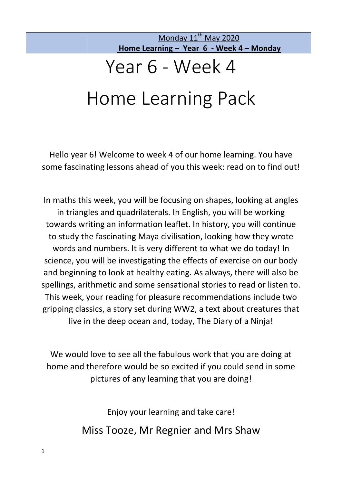# Year 6 - Week 4

# Home Learning Pack

Hello year 6! Welcome to week 4 of our home learning. You have some fascinating lessons ahead of you this week: read on to find out!

In maths this week, you will be focusing on shapes, looking at angles in triangles and quadrilaterals. In English, you will be working towards writing an information leaflet. In history, you will continue to study the fascinating Maya civilisation, looking how they wrote words and numbers. It is very different to what we do today! In science, you will be investigating the effects of exercise on our body and beginning to look at healthy eating. As always, there will also be spellings, arithmetic and some sensational stories to read or listen to. This week, your reading for pleasure recommendations include two gripping classics, a story set during WW2, a text about creatures that live in the deep ocean and, today, The Diary of a Ninja!

We would love to see all the fabulous work that you are doing at home and therefore would be so excited if you could send in some pictures of any learning that you are doing!

> Enjoy your learning and take care! Miss Tooze, Mr Regnier and Mrs Shaw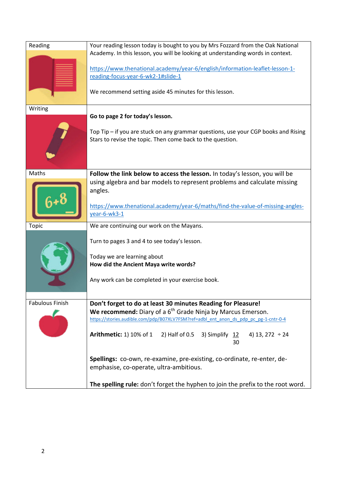| Reading                | Your reading lesson today is bought to you by Mrs Fozzard from the Oak National<br>Academy. In this lesson, you will be looking at understanding words in context.<br>https://www.thenational.academy/year-6/english/information-leaflet-lesson-1-<br>reading-focus-year-6-wk2-1#slide-1<br>We recommend setting aside 45 minutes for this lesson.                                                          |  |  |  |  |
|------------------------|-------------------------------------------------------------------------------------------------------------------------------------------------------------------------------------------------------------------------------------------------------------------------------------------------------------------------------------------------------------------------------------------------------------|--|--|--|--|
|                        |                                                                                                                                                                                                                                                                                                                                                                                                             |  |  |  |  |
| Writing                | Go to page 2 for today's lesson.<br>Top Tip - if you are stuck on any grammar questions, use your CGP books and Rising<br>Stars to revise the topic. Then come back to the question.                                                                                                                                                                                                                        |  |  |  |  |
| Maths                  | Follow the link below to access the lesson. In today's lesson, you will be<br>using algebra and bar models to represent problems and calculate missing<br>angles.<br>https://www.thenational.academy/year-6/maths/find-the-value-of-missing-angles-<br>year-6-wk3-1                                                                                                                                         |  |  |  |  |
| <b>Topic</b>           | We are continuing our work on the Mayans.<br>Turn to pages 3 and 4 to see today's lesson.<br>Today we are learning about<br>How did the Ancient Maya write words?<br>Any work can be completed in your exercise book.                                                                                                                                                                                       |  |  |  |  |
| <b>Fabulous Finish</b> | Don't forget to do at least 30 minutes Reading for Pleasure!<br>We recommend: Diary of a $6th$ Grade Ninja by Marcus Emerson.<br>https://stories.audible.com/pdp/B07XLV7FSM?ref=adbl_ent_anon_ds_pdp_pc_pg-1-cntr-0-4<br><b>Arithmetic: 1) 10% of 1</b><br>2) Half of 0.5<br>3) Simplify 12<br>4) 13, 272 $\div$ 24<br>30<br><b>Spellings:</b> co-own, re-examine, pre-existing, co-ordinate, re-enter, de- |  |  |  |  |
|                        | emphasise, co-operate, ultra-ambitious.<br>The spelling rule: don't forget the hyphen to join the prefix to the root word.                                                                                                                                                                                                                                                                                  |  |  |  |  |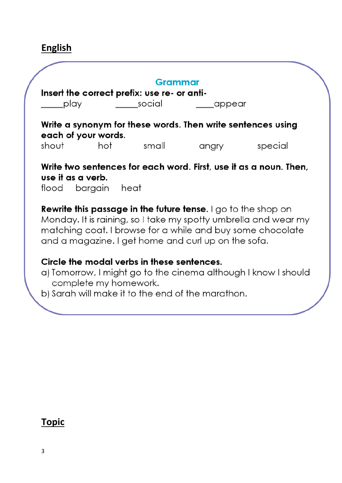## **English**

| each of your words.<br>hot<br>use it as a verb.<br>flood bargain                                                                                                                                                                                             | small<br>heat | angry                 | Write a synonym for these words. Then write sentences using<br>special<br>Write two sentences for each word. First, use it as a noun. Then,                       |  |  |  |  |
|--------------------------------------------------------------------------------------------------------------------------------------------------------------------------------------------------------------------------------------------------------------|---------------|-----------------------|-------------------------------------------------------------------------------------------------------------------------------------------------------------------|--|--|--|--|
|                                                                                                                                                                                                                                                              |               |                       |                                                                                                                                                                   |  |  |  |  |
|                                                                                                                                                                                                                                                              |               |                       |                                                                                                                                                                   |  |  |  |  |
|                                                                                                                                                                                                                                                              |               |                       |                                                                                                                                                                   |  |  |  |  |
| <b>Rewrite this passage in the future tense.</b> I go to the shop on<br>Monday. It is raining, so I take my spotty umbrella and wear my<br>matching coat. I browse for a while and buy some chocolate<br>and a magazine. I get home and curl up on the sofa. |               |                       |                                                                                                                                                                   |  |  |  |  |
|                                                                                                                                                                                                                                                              |               |                       |                                                                                                                                                                   |  |  |  |  |
|                                                                                                                                                                                                                                                              |               | complete my homework. | Circle the modal verbs in these sentences.<br>a) Tomorrow, I might go to the cinema although I know I should<br>b) Sarah will make it to the end of the marathon. |  |  |  |  |

### **Topic**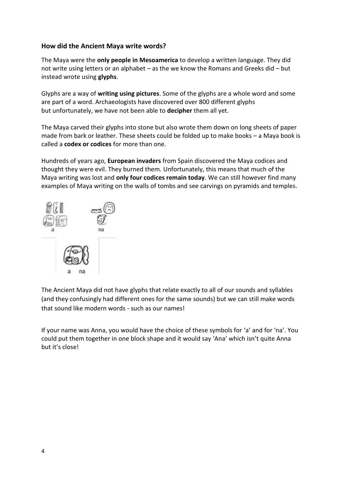#### **How did the Ancient Maya write words?**

The Maya were the **only people in Mesoamerica** to develop a written language. They did not write using letters or an alphabet – as the we know the Romans and Greeks did – but instead wrote using **glyphs**.

Glyphs are a way of **writing using pictures**. Some of the glyphs are a whole word and some are part of a word. Archaeologists have discovered over 800 different glyphs but unfortunately, we have not been able to **decipher** them all yet.

The Maya carved their glyphs into stone but also wrote them down on long sheets of paper made from bark or leather. These sheets could be folded up to make books – a Maya book is called a **codex or codices** for more than one.

Hundreds of years ago, **European invaders** from Spain discovered the Maya codices and thought they were evil. They burned them. Unfortunately, this means that much of the Maya writing was lost and **only four codices remain today**. We can still however find many examples of Maya writing on the walls of tombs and see carvings on pyramids and temples.



The Ancient Maya did not have glyphs that relate exactly to all of our sounds and syllables (and they confusingly had different ones for the same sounds) but we can still make words that sound like modern words - such as our names!

If your name was Anna, you would have the choice of these symbols for 'a' and for 'na'. You could put them together in one block shape and it would say 'Ana' which isn't quite Anna but it's close!